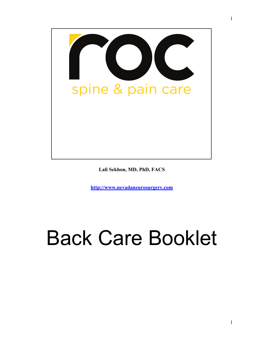

**Lali Sekhon, MD, PhD, FACS**

**http://www.nevadaneurosurgery.com**

# Back Care Booklet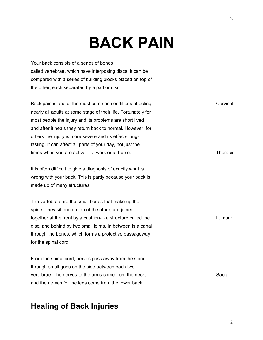# **BACK PAIN**

Your back consists of a series of bones called vertebrae, which have interposing discs. It can be compared with a series of building blocks placed on top of the other, each separated by a pad or disc.

Back pain is one of the most common conditions affecting nearly all adults at some stage of their life. Fortunately for most people the injury and its problems are short lived and after it heals they return back to normal. However, for others the injury is more severe and its effects longlasting. It can affect all parts of your day, not just the times when you are active – at work or at home.

It is often difficult to give a diagnosis of exactly what is wrong with your back. This is partly because your back is made up of many structures.

The vertebrae are the small bones that make up the spine. They sit one on top of the other, are joined together at the front by a cushion-like structure called the disc, and behind by two small joints. In between is a canal through the bones, which forms a protective passageway for the spinal cord.

From the spinal cord, nerves pass away from the spine through small gaps on the side between each two vertebrae. The nerves to the arms come from the neck, and the nerves for the legs come from the lower back.

Sacral

### **Healing of Back Injuries**

Cervical

**Thoracic** 

Lumbar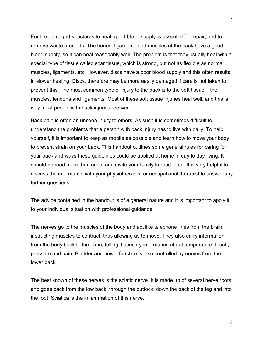For the damaged structures to heal, good blood supply is essential for repair, and to remove waste products. The bones, ligaments and muscles of the back have a good blood supply, so it can heal reasonably well. The problem is that they usually heal with a special type of tissue called scar tissue, which is strong, but not as flexible as normal muscles, ligaments, etc. However, discs have a poor blood supply and this often results in slower healing. Discs, therefore may be more easily damaged if care is not taken to prevent this. The most common type of injury to the back is to the soft tissue – the muscles, tendons and ligaments. Most of these soft tissue injuries heal well, and this is why most people with back injuries recover.

Back pain is often an unseen injury to others. As such it is sometimes difficult to understand the problems that a person with back injury has to live with daily. To help yourself, it is important to keep as mobile as possible and learn how to move your body to prevent strain on your back. This handout outlines some general rules for caring for your back and ways these guidelines could be applied at home in day to day living. It should be read more than once, and invite your family to read it too. It is very helpful to discuss the information with your physiotherapist or occupational therapist to answer any further questions.

The advice contained in the handout is of a general nature and it is important to apply it to your individual situation with professional guidance.

The nerves go to the muscles of the body and act like telephone lines from the brain; instructing muscles to contract, thus allowing us to move. They also carry information from the body back to the brain; telling it sensory information about temperature, touch, pressure and pain. Bladder and bowel function is also controlled by nerves from the lower back.

The best known of these nerves is the sciatic nerve. It is made up of several nerve roots and goes back from the low back, through the buttock, down the back of the leg and into the foot. Sciatica is the inflammation of this nerve.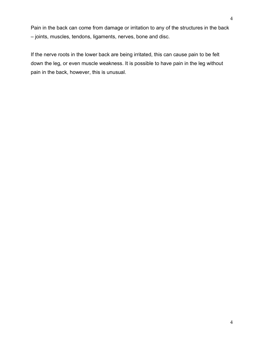Pain in the back can come from damage or irritation to any of the structures in the back – joints, muscles, tendons, ligaments, nerves, bone and disc.

If the nerve roots in the lower back are being irritated, this can cause pain to be felt down the leg, or even muscle weakness. It is possible to have pain in the leg without pain in the back, however, this is unusual.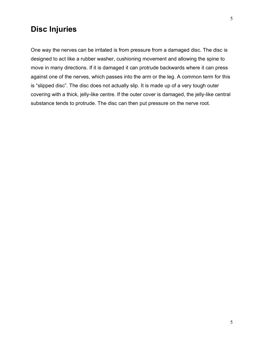#### **Disc Injuries**

One way the nerves can be irritated is from pressure from a damaged disc. The disc is designed to act like a rubber washer, cushioning movement and allowing the spine to move in many directions. If it is damaged it can protrude backwards where it can press against one of the nerves, which passes into the arm or the leg. A common term for this is "slipped disc". The disc does not actually slip. It is made up of a very tough outer covering with a thick, jelly-like centre. If the outer cover is damaged, the jelly-like central substance tends to protrude. The disc can then put pressure on the nerve root.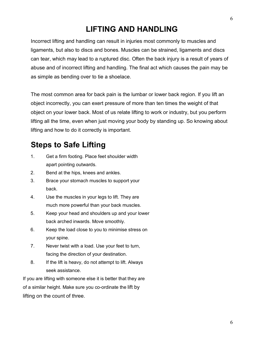# **LIFTING AND HANDLING**

Incorrect lifting and handling can result in injuries most commonly to muscles and ligaments, but also to discs and bones. Muscles can be strained, ligaments and discs can tear, which may lead to a ruptured disc. Often the back injury is a result of years of abuse and of incorrect lifting and handling. The final act which causes the pain may be as simple as bending over to tie a shoelace.

The most common area for back pain is the lumbar or lower back region. If you lift an object incorrectly, you can exert pressure of more than ten times the weight of that object on your lower back. Most of us relate lifting to work or industry, but you perform lifting all the time, even when just moving your body by standing up. So knowing about lifting and how to do it correctly is important.

#### **Steps to Safe Lifting**

- 1. Get a firm footing. Place feet shoulder width apart pointing outwards.
- 2. Bend at the hips, knees and ankles.
- 3. Brace your stomach muscles to support your back.
- 4. Use the muscles in your legs to lift. They are much more powerful than your back muscles.
- 5. Keep your head and shoulders up and your lower back arched inwards. Move smoothly.
- 6. Keep the load close to you to minimise stress on your spine.
- 7. Never twist with a load. Use your feet to turn, facing the direction of your destination.
- 8. If the lift is heavy, do not attempt to lift. Always seek assistance.

If you are lifting with someone else it is better that they are of a similar height. Make sure you co-ordinate the lift by lifting on the count of three.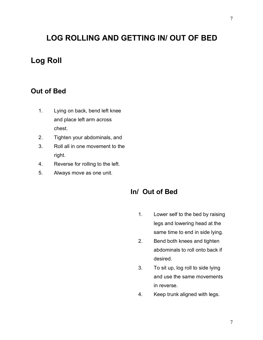# **LOG ROLLING AND GETTING IN/ OUT OF BED**

#### **Log Roll**

#### **Out of Bed**

- 1. Lying on back, bend left knee and place left arm across chest.
- 2. Tighten your abdominals, and
- 3. Roll all in one movement to the right.
- 4. Reverse for rolling to the left.
- 5. Always move as one unit.

#### **In/ Out of Bed**

- 1. Lower self to the bed by raising legs and lowering head at the same time to end in side lying.
- 2. Bend both knees and tighten abdominals to roll onto back if desired.
- 3. To sit up, log roll to side lying and use the same movements in reverse.
- 4. Keep trunk aligned with legs.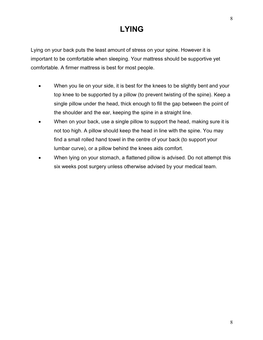# **LYING**

Lying on your back puts the least amount of stress on your spine. However it is important to be comfortable when sleeping. Your mattress should be supportive yet comfortable. A firmer mattress is best for most people.

- When you lie on your side, it is best for the knees to be slightly bent and your top knee to be supported by a pillow (to prevent twisting of the spine). Keep a single pillow under the head, thick enough to fill the gap between the point of the shoulder and the ear, keeping the spine in a straight line.
- When on your back, use a single pillow to support the head, making sure it is not too high. A pillow should keep the head in line with the spine. You may find a small rolled hand towel in the centre of your back (to support your lumbar curve), or a pillow behind the knees aids comfort.
- When lying on your stomach, a flattened pillow is advised. Do not attempt this six weeks post surgery unless otherwise advised by your medical team.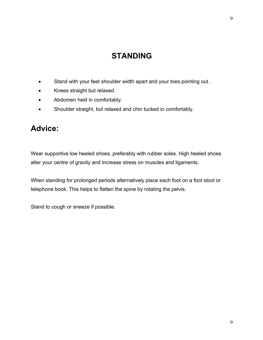# **STANDING**

- Stand with your feet shoulder width apart and your toes pointing out .
- Knees straight but relaxed.
- Abdomen held in comfortably.
- Shoulder straight, but relaxed and chin tucked in comfortably.

#### **Advice:**

Wear supportive low heeled shoes, preferably with rubber soles. High heeled shoes alter your centre of gravity and increase stress on muscles and ligaments.

When standing for prolonged periods alternatively place each foot on a foot stool or telephone book. This helps to flatten the spine by rotating the pelvis.

Stand to cough or sneeze if possible.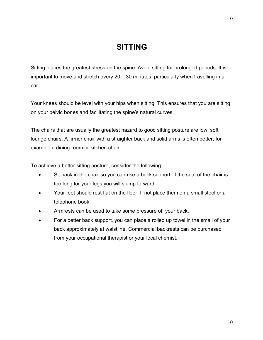#### **SITTING**

Sitting places the greatest stress on the spine. Avoid sitting for prolonged periods. It is important to move and stretch every 20 – 30 minutes, particularly when travelling in a car.

Your knees should be level with your hips when sitting. This ensures that you are sitting on your pelvic bones and facilitating the spine's natural curves.

The chairs that are usually the greatest hazard to good sitting posture are low, soft lounge chairs. A firmer chair with a straighter back and solid arms is often better, for example a dining room or kitchen chair.

To achieve a better sitting posture, consider the following:

- Sit back in the chair so you can use a back support. If the seat of the chair is too long for your legs you will slump forward.
- Your feet should rest flat on the floor. If not place them on a small stool or a telephone book.
- Armrests can be used to take some pressure off your back.
- For a better back support, you can place a rolled up towel in the small of your back approximately at waistline. Commercial backrests can be purchased from your occupational therapist or your local chemist.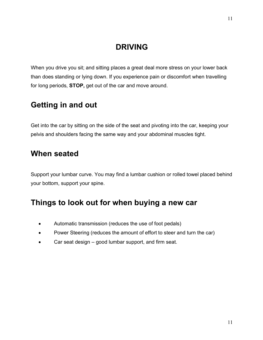### **DRIVING**

When you drive you sit; and sitting places a great deal more stress on your lower back than does standing or lying down. If you experience pain or discomfort when travelling for long periods, **STOP,** get out of the car and move around.

### **Getting in and out**

Get into the car by sitting on the side of the seat and pivoting into the car, keeping your pelvis and shoulders facing the same way and your abdominal muscles tight.

#### **When seated**

Support your lumbar curve. You may find a lumbar cushion or rolled towel placed behind your bottom, support your spine.

#### **Things to look out for when buying a new car**

- Automatic transmission (reduces the use of foot pedals)
- Power Steering (reduces the amount of effort to steer and turn the car)
- Car seat design good lumbar support, and firm seat.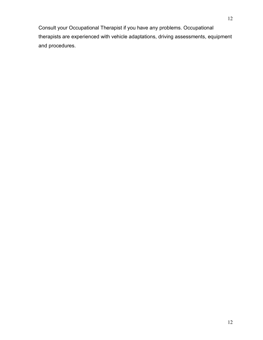Consult your Occupational Therapist if you have any problems. Occupational therapists are experienced with vehicle adaptations, driving assessments, equipment and procedures.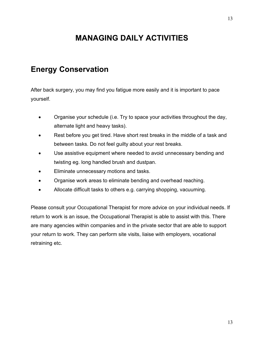# **MANAGING DAILY ACTIVITIES**

#### **Energy Conservation**

After back surgery, you may find you fatigue more easily and it is important to pace yourself.

- Organise your schedule (i.e. Try to space your activities throughout the day, alternate light and heavy tasks).
- Rest before you get tired. Have short rest breaks in the middle of a task and between tasks. Do not feel guilty about your rest breaks.
- Use assistive equipment where needed to avoid unnecessary bending and twisting eg. long handled brush and dustpan.
- Eliminate unnecessary motions and tasks.
- Organise work areas to eliminate bending and overhead reaching.
- Allocate difficult tasks to others e.g. carrying shopping, vacuuming.

Please consult your Occupational Therapist for more advice on your individual needs. If return to work is an issue, the Occupational Therapist is able to assist with this. There are many agencies within companies and in the private sector that are able to support your return to work. They can perform site visits, liaise with employers, vocational retraining etc.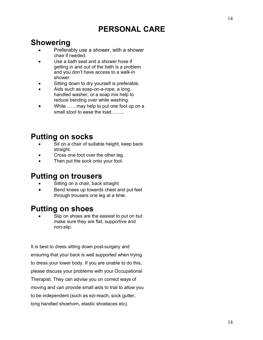# **PERSONAL CARE**

#### **Showering**

- Preferably use a shower, with a shower chair if needed.
- Use a bath seat and a shower hose if getting in and out of the bath is a problem and you don't have access to a walk-in shower.
- Sitting down to dry yourself is preferable.
- Aids such as soap-on-a-rope, a long handled washer, or a soap mix help to reduce bending over while washing.
- While ......may help to put one foot up on a small stool to ease the load

# **Putting on socks**

- Sit on a chair of suitable height, keep back straight.
- Cross one foot over the other leg.
- Then put the sock onto your foot.

#### **Putting on trousers**

- Sitting on a chair, back straight
- Bend knees up towards chest and put feet through trousers one leg at a time.

### **Putting on shoes**

Slip on shoes are the easiest to put on but make sure they are flat, supportive and non-slip.

It is best to dress sitting down post-surgery and ensuring that your back is well supported when trying to dress your lower body. If you are unable to do this, please discuss your problems with your Occupational Therapist. They can advise you on correct ways of moving and can provide small aids to trial to allow you to be independent (such as ezi-reach, sock gutter, long handled shoehorn, elastic shoelaces etc).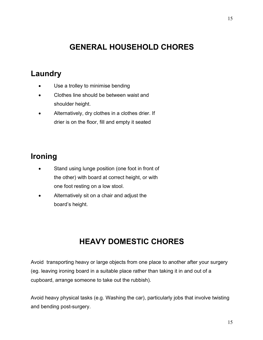# **GENERAL HOUSEHOLD CHORES**

#### **Laundry**

- Use a trolley to minimise bending
- Clothes line should be between waist and shoulder height.
- Alternatively, dry clothes in a clothes drier. If drier is on the floor, fill and empty it seated

# **Ironing**

- Stand using lunge position (one foot in front of the other) with board at correct height, or with one foot resting on a low stool.
- Alternatively sit on a chair and adjust the board's height.

# **HEAVY DOMESTIC CHORES**

Avoid transporting heavy or large objects from one place to another after your surgery (eg. leaving ironing board in a suitable place rather than taking it in and out of a cupboard, arrange someone to take out the rubbish).

Avoid heavy physical tasks (e.g. Washing the car), particularly jobs that involve twisting and bending post-surgery.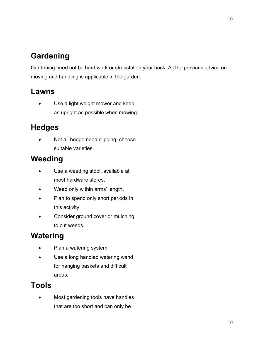# **Gardening**

Gardening need not be hard work or stressful on your back. All the previous advice on moving and handling is applicable in the garden.

#### **Lawns**

Use a light weight mower and keep as upright as possible when mowing.

# **Hedges**

Not all hedge need clipping, choose suitable varieties.

# **Weeding**

- Use a weeding stool, available at most hardware stores.
- Weed only within arms' length.
- Plan to spend only short periods in this activity.
- Consider ground cover or mulching to cut weeds.

# **Watering**

- Plan a watering system
- Use a long handled watering wand for hanging baskets and difficult areas.

# **Tools**

Most gardening tools have handles that are too short and can only be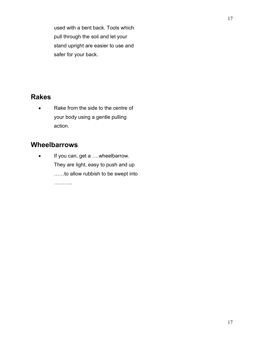used with a bent back. Tools which pull through the soil and let your stand upright are easier to use and safer for your back.

#### **Rakes**

• Rake from the side to the centre of your body using a gentle pulling action.

#### **Wheelbarrows**

• If you can, get a ....wheelbarrow. They are light, easy to push and up ……to allow rubbish to be swept into ………..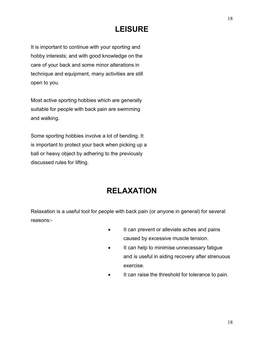# **LEISURE**

It is important to continue with your sporting and hobby interests; and with good knowledge on the care of your back and some minor alterations in technique and equipment, many activities are still open to you.

Most active sporting hobbies which are generally suitable for people with back pain are swimming and walking.

Some sporting hobbies involve a lot of bending. It is important to protect your back when picking up a ball or heavy object by adhering to the previously discussed rules for lifting.

# **RELAXATION**

Relaxation is a useful tool for people with back pain (or anyone in general) for several reasons:-

- It can prevent or alleviate aches and pains caused by excessive muscle tension.
- It can help to minimise unnecessary fatigue and is useful in aiding recovery after strenuous exercise.
- It can raise the threshold for tolerance to pain.